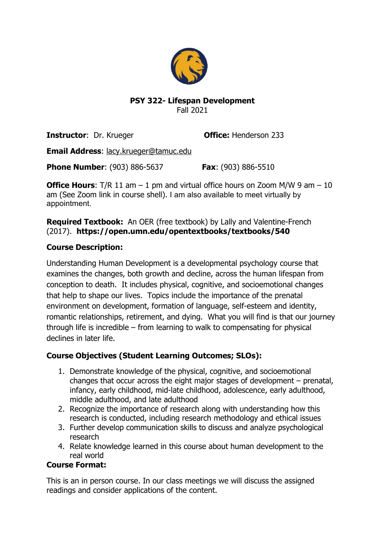

## **PSY 322- Lifespan Development** Fall 2021

**Instructor:** Dr. Krueger **Office:** Henderson 233

**Email Address**: lacy.krueger@tamuc.edu

**Phone Number**: (903) 886-5637 **Fax**: (903) 886-5510

**Office Hours:** T/R 11 am – 1 pm and virtual office hours on Zoom M/W 9 am – 10 am (See Zoom link in course shell). I am also available to meet virtually by appointment.

**Required Textbook:** An OER (free textbook) by Lally and Valentine-French (2017). **https://open.umn.edu/opentextbooks/textbooks/540**

# **Course Description:**

Understanding Human Development is a developmental psychology course that examines the changes, both growth and decline, across the human lifespan from conception to death. It includes physical, cognitive, and socioemotional changes that help to shape our lives. Topics include the importance of the prenatal environment on development, formation of language, self-esteem and identity, romantic relationships, retirement, and dying. What you will find is that our journey through life is incredible – from learning to walk to compensating for physical declines in later life.

# **Course Objectives (Student Learning Outcomes; SLOs):**

- 1. Demonstrate knowledge of the physical, cognitive, and socioemotional changes that occur across the eight major stages of development – prenatal, infancy, early childhood, mid-late childhood, adolescence, early adulthood, middle adulthood, and late adulthood
- 2. Recognize the importance of research along with understanding how this research is conducted, including research methodology and ethical issues
- 3. Further develop communication skills to discuss and analyze psychological research
- 4. Relate knowledge learned in this course about human development to the real world

# **Course Format:**

This is an in person course. In our class meetings we will discuss the assigned readings and consider applications of the content.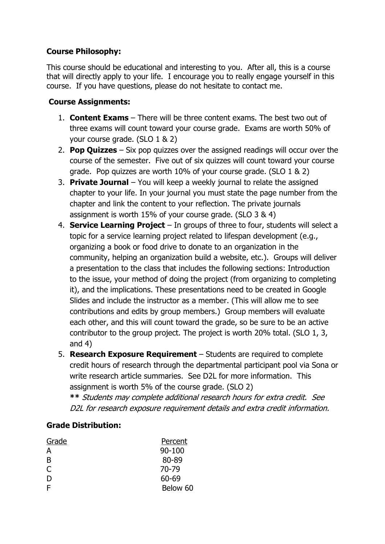# **Course Philosophy:**

This course should be educational and interesting to you. After all, this is a course that will directly apply to your life. I encourage you to really engage yourself in this course. If you have questions, please do not hesitate to contact me.

# **Course Assignments:**

- 1. **Content Exams** There will be three content exams. The best two out of three exams will count toward your course grade. Exams are worth 50% of your course grade. (SLO 1 & 2)
- 2. **Pop Quizzes** Six pop quizzes over the assigned readings will occur over the course of the semester. Five out of six quizzes will count toward your course grade. Pop quizzes are worth 10% of your course grade. (SLO 1 & 2)
- 3. **Private Journal** You will keep a weekly journal to relate the assigned chapter to your life. In your journal you must state the page number from the chapter and link the content to your reflection. The private journals assignment is worth 15% of your course grade. (SLO 3 & 4)
- 4. **Service Learning Project** In groups of three to four, students will select a topic for a service learning project related to lifespan development (e.g., organizing a book or food drive to donate to an organization in the community, helping an organization build a website, etc.). Groups will deliver a presentation to the class that includes the following sections: Introduction to the issue, your method of doing the project (from organizing to completing it), and the implications. These presentations need to be created in Google Slides and include the instructor as a member. (This will allow me to see contributions and edits by group members.) Group members will evaluate each other, and this will count toward the grade, so be sure to be an active contributor to the group project. The project is worth 20% total. (SLO 1, 3, and 4)
- 5. **Research Exposure Requirement** Students are required to complete credit hours of research through the departmental participant pool via Sona or write research article summaries. See D2L for more information. This assignment is worth 5% of the course grade. (SLO 2) **\*\*** Students may complete additional research hours for extra credit. See

# D2L for research exposure requirement details and extra credit information.

# **Grade Distribution:**

| Grade | Percent    |
|-------|------------|
| А     | $90 - 100$ |
| B     | 80-89      |
| C     | 70-79      |
| D     | 60-69      |
| F     | Below 60   |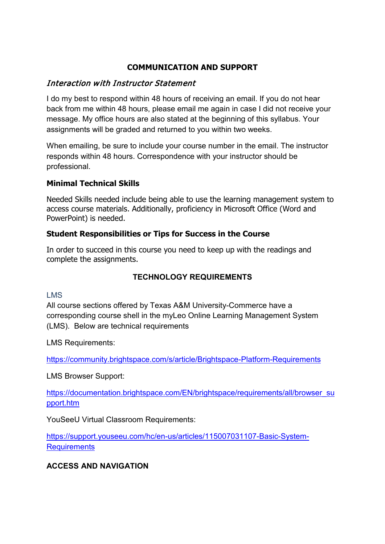# **COMMUNICATION AND SUPPORT**

# Interaction with Instructor Statement

I do my best to respond within 48 hours of receiving an email. If you do not hear back from me within 48 hours, please email me again in case I did not receive your message. My office hours are also stated at the beginning of this syllabus. Your assignments will be graded and returned to you within two weeks.

When emailing, be sure to include your course number in the email. The instructor responds within 48 hours. Correspondence with your instructor should be professional.

# **Minimal Technical Skills**

Needed Skills needed include being able to use the learning management system to access course materials. Additionally, proficiency in Microsoft Office (Word and PowerPoint) is needed.

# **Student Responsibilities or Tips for Success in the Course**

In order to succeed in this course you need to keep up with the readings and complete the assignments.

# **TECHNOLOGY REQUIREMENTS**

## LMS

All course sections offered by Texas A&M University-Commerce have a corresponding course shell in the myLeo Online Learning Management System (LMS). Below are technical requirements

LMS Requirements:

<https://community.brightspace.com/s/article/Brightspace-Platform-Requirements>

LMS Browser Support:

[https://documentation.brightspace.com/EN/brightspace/requirements/all/browser\\_su](https://documentation.brightspace.com/EN/brightspace/requirements/all/browser_support.htm) [pport.htm](https://documentation.brightspace.com/EN/brightspace/requirements/all/browser_support.htm)

YouSeeU Virtual Classroom Requirements:

[https://support.youseeu.com/hc/en-us/articles/115007031107-Basic-System-](https://support.youseeu.com/hc/en-us/articles/115007031107-Basic-System-Requirements)**[Requirements](https://support.youseeu.com/hc/en-us/articles/115007031107-Basic-System-Requirements)** 

## **ACCESS AND NAVIGATION**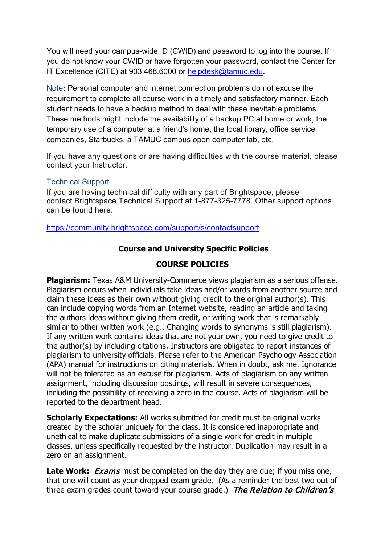You will need your campus-wide ID (CWID) and password to log into the course. If you do not know your CWID or have forgotten your password, contact the Center for IT Excellence (CITE) at 903.468.6000 or [helpdesk@tamuc.edu](mailto:helpdesk@tamuc.edu)**.**

Note**:** Personal computer and internet connection problems do not excuse the requirement to complete all course work in a timely and satisfactory manner. Each student needs to have a backup method to deal with these inevitable problems. These methods might include the availability of a backup PC at home or work, the temporary use of a computer at a friend's home, the local library, office service companies, Starbucks, a TAMUC campus open computer lab, etc.

If you have any questions or are having difficulties with the course material, please contact your Instructor.

#### Technical Support

If you are having technical difficulty with any part of Brightspace, please contact Brightspace Technical Support at 1-877-325-7778. Other support options can be found here:

<https://community.brightspace.com/support/s/contactsupport>

## **Course and University Specific Policies**

## **COURSE POLICIES**

**Plagiarism:** Texas A&M University-Commerce views plagiarism as a serious offense. Plagiarism occurs when individuals take ideas and/or words from another source and claim these ideas as their own without giving credit to the original author(s). This can include copying words from an Internet website, reading an article and taking the authors ideas without giving them credit, or writing work that is remarkably similar to other written work (e.g., Changing words to synonyms is still plagiarism). If any written work contains ideas that are not your own, you need to give credit to the author(s) by including citations. Instructors are obligated to report instances of plagiarism to university officials. Please refer to the American Psychology Association (APA) manual for instructions on citing materials. When in doubt, ask me. Ignorance will not be tolerated as an excuse for plagiarism. Acts of plagiarism on any written assignment, including discussion postings, will result in severe consequences, including the possibility of receiving a zero in the course. Acts of plagiarism will be reported to the department head.

**Scholarly Expectations:** All works submitted for credit must be original works created by the scholar uniquely for the class. It is considered inappropriate and unethical to make duplicate submissions of a single work for credit in multiple classes, unless specifically requested by the instructor. Duplication may result in a zero on an assignment.

**Late Work:** *Exams* must be completed on the day they are due; if you miss one, that one will count as your dropped exam grade. (As a reminder the best two out of three exam grades count toward your course grade.) The Relation to Children's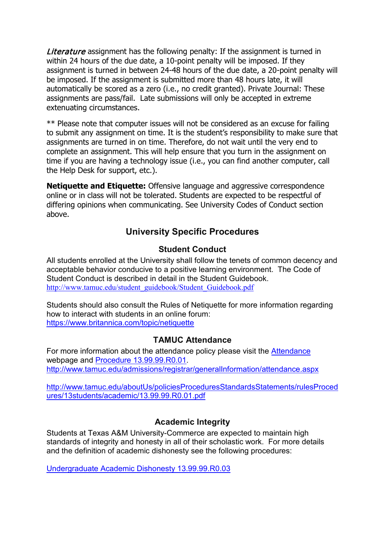Literature assignment has the following penalty: If the assignment is turned in within 24 hours of the due date, a 10-point penalty will be imposed. If they assignment is turned in between 24-48 hours of the due date, a 20-point penalty will be imposed. If the assignment is submitted more than 48 hours late, it will automatically be scored as a zero (i.e., no credit granted). Private Journal: These assignments are pass/fail. Late submissions will only be accepted in extreme extenuating circumstances.

\*\* Please note that computer issues will not be considered as an excuse for failing to submit any assignment on time. It is the student's responsibility to make sure that assignments are turned in on time. Therefore, do not wait until the very end to complete an assignment. This will help ensure that you turn in the assignment on time if you are having a technology issue (i.e., you can find another computer, call the Help Desk for support, etc.).

**Netiquette and Etiquette:** Offensive language and aggressive correspondence online or in class will not be tolerated. Students are expected to be respectful of differing opinions when communicating. See University Codes of Conduct section above.

# **University Specific Procedures**

# **Student Conduct**

All students enrolled at the University shall follow the tenets of common decency and acceptable behavior conducive to a positive learning environment. The Code of Student Conduct is described in detail in the Student Guidebook. [http://www.tamuc.edu/student\\_guidebook/Student\\_Guidebook.pdf](http://www.tamuc.edu/student_guidebook/Student_Guidebook.pdf)

Students should also consult the Rules of Netiquette for more information regarding how to interact with students in an online forum: <https://www.britannica.com/topic/netiquette>

# **TAMUC Attendance**

For more information about the attendance policy please visit the [Attendance](http://www.tamuc.edu/admissions/registrar/generalInformation/attendance.aspx) webpage and [Procedure 13.99.99.R0.01.](http://www.tamuc.edu/aboutUs/policiesProceduresStandardsStatements/rulesProcedures/13students/academic/13.99.99.R0.01.pdf) <http://www.tamuc.edu/admissions/registrar/generalInformation/attendance.aspx>

[http://www.tamuc.edu/aboutUs/policiesProceduresStandardsStatements/rulesProced](http://www.tamuc.edu/aboutUs/policiesProceduresStandardsStatements/rulesProcedures/13students/academic/13.99.99.R0.01.pdf) [ures/13students/academic/13.99.99.R0.01.pdf](http://www.tamuc.edu/aboutUs/policiesProceduresStandardsStatements/rulesProcedures/13students/academic/13.99.99.R0.01.pdf)

# **Academic Integrity**

Students at Texas A&M University-Commerce are expected to maintain high standards of integrity and honesty in all of their scholastic work. For more details and the definition of academic dishonesty see the following procedures:

[Undergraduate Academic Dishonesty 13.99.99.R0.03](http://www.tamuc.edu/aboutUs/policiesProceduresStandardsStatements/rulesProcedures/13students/undergraduates/13.99.99.R0.03UndergraduateAcademicDishonesty.pdf)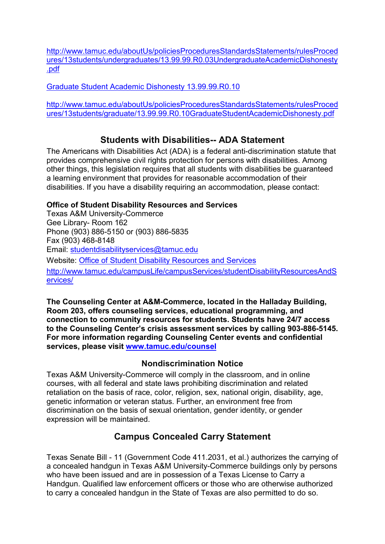[http://www.tamuc.edu/aboutUs/policiesProceduresStandardsStatements/rulesProced](http://www.tamuc.edu/aboutUs/policiesProceduresStandardsStatements/rulesProcedures/13students/undergraduates/13.99.99.R0.03UndergraduateAcademicDishonesty.pdf) [ures/13students/undergraduates/13.99.99.R0.03UndergraduateAcademicDishonesty](http://www.tamuc.edu/aboutUs/policiesProceduresStandardsStatements/rulesProcedures/13students/undergraduates/13.99.99.R0.03UndergraduateAcademicDishonesty.pdf) [.pdf](http://www.tamuc.edu/aboutUs/policiesProceduresStandardsStatements/rulesProcedures/13students/undergraduates/13.99.99.R0.03UndergraduateAcademicDishonesty.pdf)

[Graduate Student Academic Dishonesty 13.99.99.R0.10](http://www.tamuc.edu/aboutUs/policiesProceduresStandardsStatements/rulesProcedures/13students/graduate/13.99.99.R0.10GraduateStudentAcademicDishonesty.pdf)

[http://www.tamuc.edu/aboutUs/policiesProceduresStandardsStatements/rulesProced](http://www.tamuc.edu/aboutUs/policiesProceduresStandardsStatements/rulesProcedures/13students/graduate/13.99.99.R0.10GraduateStudentAcademicDishonesty.pdf) [ures/13students/graduate/13.99.99.R0.10GraduateStudentAcademicDishonesty.pdf](http://www.tamuc.edu/aboutUs/policiesProceduresStandardsStatements/rulesProcedures/13students/graduate/13.99.99.R0.10GraduateStudentAcademicDishonesty.pdf)

# **Students with Disabilities-- ADA Statement**

The Americans with Disabilities Act (ADA) is a federal anti-discrimination statute that provides comprehensive civil rights protection for persons with disabilities. Among other things, this legislation requires that all students with disabilities be guaranteed a learning environment that provides for reasonable accommodation of their disabilities. If you have a disability requiring an accommodation, please contact:

## **Office of Student Disability Resources and Services**

Texas A&M University-Commerce Gee Library- Room 162 Phone (903) 886-5150 or (903) 886-5835 Fax (903) 468-8148 Email: [studentdisabilityservices@tamuc.edu](mailto:studentdisabilityservices@tamuc.edu) Website: [Office of Student Disability Resources and Services](http://www.tamuc.edu/campusLife/campusServices/studentDisabilityResourcesAndServices/) [http://www.tamuc.edu/campusLife/campusServices/studentDisabilityResourcesAndS](http://www.tamuc.edu/campusLife/campusServices/studentDisabilityResourcesAndServices/) [ervices/](http://www.tamuc.edu/campusLife/campusServices/studentDisabilityResourcesAndServices/)

**The Counseling Center at A&M-Commerce, located in the Halladay Building, Room 203, offers counseling services, educational programming, and connection to community resources for students. Students have 24/7 access to the Counseling Center's crisis assessment services by calling 903-886-5145. For more information regarding Counseling Center events and confidential services, please visit [www.tamuc.edu/counsel](http://www.tamuc.edu/counsel)**

# **Nondiscrimination Notice**

Texas A&M University-Commerce will comply in the classroom, and in online courses, with all federal and state laws prohibiting discrimination and related retaliation on the basis of race, color, religion, sex, national origin, disability, age, genetic information or veteran status. Further, an environment free from discrimination on the basis of sexual orientation, gender identity, or gender expression will be maintained.

# **Campus Concealed Carry Statement**

Texas Senate Bill - 11 (Government Code 411.2031, et al.) authorizes the carrying of a concealed handgun in Texas A&M University-Commerce buildings only by persons who have been issued and are in possession of a Texas License to Carry a Handgun. Qualified law enforcement officers or those who are otherwise authorized to carry a concealed handgun in the State of Texas are also permitted to do so.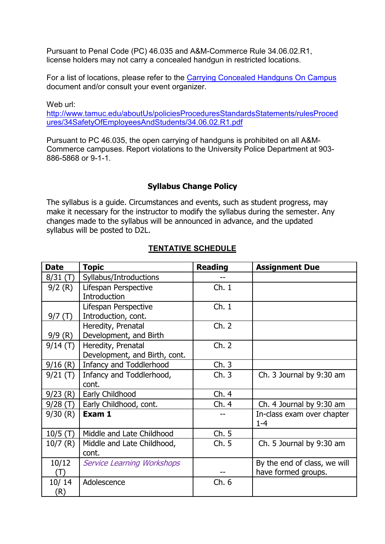Pursuant to Penal Code (PC) 46.035 and A&M-Commerce Rule 34.06.02.R1, license holders may not carry a concealed handgun in restricted locations.

For a list of locations, please refer to the [Carrying Concealed Handguns On Campus](http://www.tamuc.edu/aboutUs/policiesProceduresStandardsStatements/rulesProcedures/34SafetyOfEmployeesAndStudents/34.06.02.R1.pdf) document and/or consult your event organizer.

Web url: [http://www.tamuc.edu/aboutUs/policiesProceduresStandardsStatements/rulesProced](http://www.tamuc.edu/aboutUs/policiesProceduresStandardsStatements/rulesProcedures/34SafetyOfEmployeesAndStudents/34.06.02.R1.pdf) [ures/34SafetyOfEmployeesAndStudents/34.06.02.R1.pdf](http://www.tamuc.edu/aboutUs/policiesProceduresStandardsStatements/rulesProcedures/34SafetyOfEmployeesAndStudents/34.06.02.R1.pdf)

Pursuant to PC 46.035, the open carrying of handguns is prohibited on all A&M-Commerce campuses. Report violations to the University Police Department at 903- 886-5868 or 9-1-1.

# **Syllabus Change Policy**

The syllabus is a guide. Circumstances and events, such as student progress, may make it necessary for the instructor to modify the syllabus during the semester. Any changes made to the syllabus will be announced in advance, and the updated syllabus will be posted to D2L.

| <b>Date</b> | <b>Topic</b>                      | <b>Reading</b> | <b>Assignment Due</b>                 |
|-------------|-----------------------------------|----------------|---------------------------------------|
| 8/31(T)     | Syllabus/Introductions            |                |                                       |
| 9/2(R)      | Lifespan Perspective              | Ch.1           |                                       |
|             | Introduction                      |                |                                       |
|             | Lifespan Perspective              | Ch.1           |                                       |
| 9/7(T)      | Introduction, cont.               |                |                                       |
|             | Heredity, Prenatal                | Ch. 2          |                                       |
| 9/9(R)      | Development, and Birth            |                |                                       |
| 9/14(T)     | Heredity, Prenatal                | Ch. 2          |                                       |
|             | Development, and Birth, cont.     |                |                                       |
| 9/16(R)     | Infancy and Toddlerhood           | Ch.3           |                                       |
| 9/21(T)     | Infancy and Toddlerhood,          | Ch.3           | Ch. 3 Journal by 9:30 am              |
|             | cont.                             |                |                                       |
| 9/23(R)     | Early Childhood                   | Ch.4           |                                       |
| 9/28(T)     | Early Childhood, cont.            | Ch.4           | Ch. 4 Journal by 9:30 am              |
| 9/30(R)     | Exam 1                            |                | In-class exam over chapter<br>$1 - 4$ |
| $10/5$ (T)  | Middle and Late Childhood         | Ch. 5          |                                       |
| $10/7$ (R)  | Middle and Late Childhood,        | Ch.5           | Ch. 5 Journal by 9:30 am              |
|             | cont.                             |                |                                       |
| 10/12       | <b>Service Learning Workshops</b> |                | By the end of class, we will          |
| $\Box$      |                                   |                | have formed groups.                   |
| 10/14       | Adolescence                       | Ch. 6          |                                       |
| (R)         |                                   |                |                                       |

# **TENTATIVE SCHEDULE**